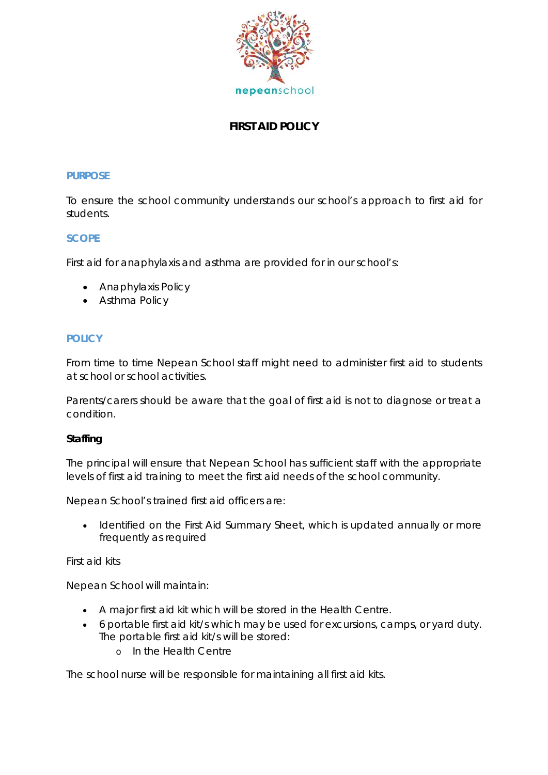

# **FIRST AID POLICY**

#### **PURPOSE**

To ensure the school community understands our school's approach to first aid for students.

#### **SCOPE**

First aid for anaphylaxis and asthma are provided for in our school's:

- *Anaphylaxis Policy*
- *Asthma Policy*

#### **POLICY**

From time to time Nepean School staff might need to administer first aid to students at school or school activities.

Parents/carers should be aware that the goal of first aid is not to diagnose or treat a condition.

#### **Staffing**

The principal will ensure that Nepean School has sufficient staff with the appropriate levels of first aid training to meet the first aid needs of the school community.

Nepean School's trained first aid officers are:

Identified on the First Aid Summary Sheet, which is updated annually or more frequently as required

#### First aid kits

Nepean School will maintain:

- A major first aid kit which will be stored in the Health Centre.
- 6 portable first aid kit/s which may be used for excursions, camps, or yard duty. The portable first aid kit/s will be stored:
	- o In the Health Centre

The school nurse will be responsible for maintaining all first aid kits.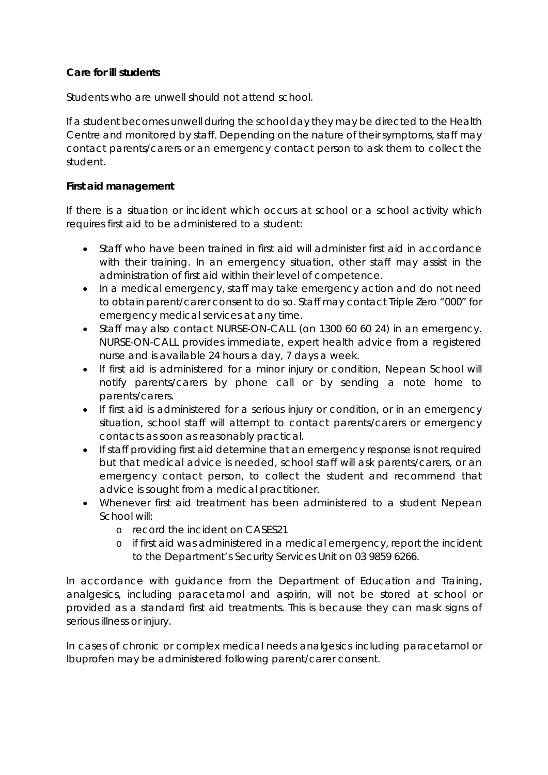### **Care for ill students**

Students who are unwell should not attend school.

If a student becomes unwell during the school day they may be directed to the Health Centre and monitored by staff. Depending on the nature of their symptoms, staff may contact parents/carers or an emergency contact person to ask them to collect the student.

### **First aid management**

If there is a situation or incident which occurs at school or a school activity which requires first aid to be administered to a student:

- Staff who have been trained in first aid will administer first aid in accordance with their training. In an emergency situation, other staff may assist in the administration of first aid within their level of competence.
- In a medical emergency, staff may take emergency action and do not need to obtain parent/carer consent to do so. Staff may contact Triple Zero "000" for emergency medical services at any time.
- Staff may also contact NURSE-ON-CALL (on 1300 60 60 24) in an emergency. NURSE-ON-CALL provides immediate, expert health advice from a registered nurse and is available 24 hours a day, 7 days a week.
- If first aid is administered for a minor injury or condition, Nepean School will notify parents/carers by phone call or by sending a note home to parents/carers.
- If first aid is administered for a serious injury or condition, or in an emergency situation, school staff will attempt to contact parents/carers or emergency contacts as soon as reasonably practical.
- If staff providing first aid determine that an emergency response is not required but that medical advice is needed, school staff will ask parents/carers, or an emergency contact person, to collect the student and recommend that advice is sought from a medical practitioner.
- Whenever first aid treatment has been administered to a student Nepean School will:
	- o record the incident on CASES21
	- o if first aid was administered in a medical emergency, report the incident to the Department's Security Services Unit on 03 9859 6266.

In accordance with guidance from the Department of Education and Training, analgesics, including paracetamol and aspirin, will not be stored at school or provided as a standard first aid treatments. This is because they can mask signs of serious illness or injury.

In cases of chronic or complex medical needs analgesics including paracetamol or Ibuprofen may be administered following parent/carer consent.